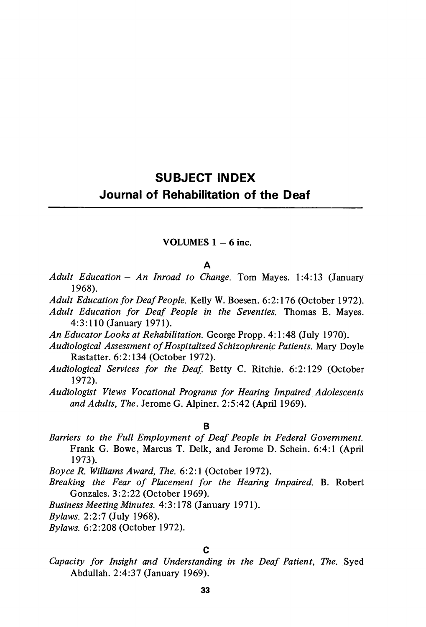# SUBJECT INDEX Journal of Rehabilitation of the Deaf

## VOLUMES  $1 - 6$  inc.

#### A

- Adult Education An Inroad to Change. Tom Mayes. 1:4:13 (January 1968).
- Adult Education for Deaf People. Kelly W. Boesen. 6:2:176 (October 1972).
- Adult Education for Deaf People in the Seventies. Thomas E. Mayes. 4:3:110 (January 1971).
- An Educator Looks at Rehabilitation. George Propp. 4:1:48 (July 1970).
- Audiological Assessment of Hospitalized Schizophrenic Patients. Mary Doyle Rastatter. 6:2:134 (October 1972).
- Audiological Services for the Deaf. Betty C. Ritchie. 6:2:129 (October 1972).
- Audiologist Views Vocational Programs for Hearing Impaired Adolescents and Adults, The. Jerome G. Alpiner. 2:5:42 (April 1969).

#### B

Barriers to the Full Employment of Deaf People in Federal Government. Frank G. Bowe, Marcus T. Delk, and Jerome D. Schein. 6:4:1 (April 1973).

Boyce R. Williams Award, The. 6:2:1 (October 1972).

- Breaking the Fear of Placement for the Hearing Impaired. B. Robert Gonzales. 3:2:22 (October 1969).
- Business Meeting Minutes. 4:3:178 (January 1971).

Bylaws. 2:2:7 (July 1968).

Bylaws. 6:2:208 (October 1972).

#### C

Capacity for Insight and Understanding in the Deaf Patient, The. Syed Abdullah. 2:4:37 (January 1969).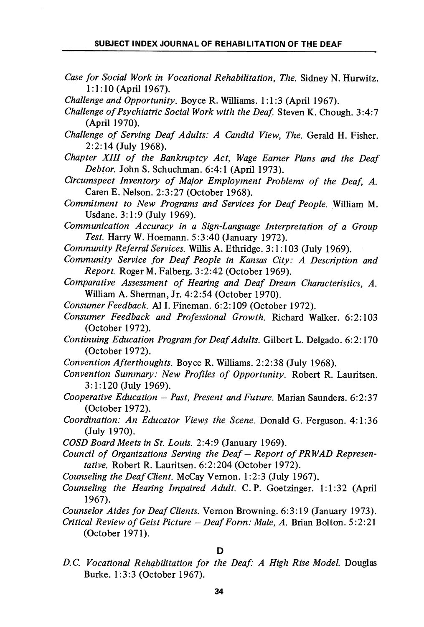Case for Social Work in Vocational Rehabilitation, The. Sidney N. Hurwitz. 1:1:10 (April 1967).

Challenge and Opportunity. Boyce R. Williams. 1:1:3 (April 1967).

- Challenge of Psychiatric Social Work with the Deaf. Steven K. Chough. 3:4:7 (April 1970).
- Challenge of Serving Deaf Adults: A Candid View, The. Gerald H. Fisher. 2:2:14 (July 1968).
- Chapter XIII of the Bankruptcy Act, Wage Earner Plans and the Deaf Debtor. John S. Schuchman. 6:4:1 (April 1973).
- Circumspect Inventory of Major Employment Problems of the Deaf, A. Caren E. Nelson. 2:3:27 (October 1968).
- Commitment to New Programs and Services for Deaf People. William M. Usdane. 3:1:9 (July 1969).
- Communication Accuracy in a Sign-Language Interpretation of a Group Test. Harry W. Hoemann. 5:3:40 (January 1972).
- Community Referral Services. Willis A. Ethridge. 3:1:103 (July 1969).
- Community Service for Deaf People in Kansas City: A Description and Report. Roger M. Falberg. 3:2:42 (October 1969).
- Comparative Assessment of Hearing and Deaf Dream Characteristics, A. William A. Sherman, Jr. 4:2:54 (October 1970).
- Consumer Feedback. A11. Fineman. 6:2:109 (October 1972).
- Consumer Feedback and Professional Growth. Richard Walker. 6:2:103 (October 1972).
- Continuing Education Program for Deaf Adults. Gilbert L. Delgado. 6:2:170 (October 1972).
- Convention Afterthoughts. Boyce R. Williams. 2:2:38 (July 1968).
- Convention Summary: New Profiles of Opportunity. Robert R. Lauritsen. 3:1:120 (July 1969).
- Cooperative Education Past, Present and Future. Marian Saunders. 6:2:37 (October 1972).
- Coordination: An Educator Views the Scene. Donald G. Ferguson. 4:1:36 (July 1970).
- COSD Board Meets in St. Louis. 2:4:9 (January 1969).
- Council of Organizations Serving the Deaf Report of PRWAD Represen tative. Robert R. Lauritsen. 6:2:204 (October 1972).
- Counseling the Deaf Client. McCay Vemon. 1:2:3 (July 1967).
- Counseling the Hearing Impaired Adult. C. P. Goetzinger. 1:1:32 (April 1967).
- Counselor Aides for Deaf Clients. Vemon Browning. 6:3:19 (January 1973).
- Critical Review of Geist Picture Deaf Form: Male, A. Brian Bolton. 5:2:21 (October 1971).

D

D.C. Vocational Rehabilitation for the Deaf: A High Rise Model. Douglas Burke. 1:3:3 (October 1967).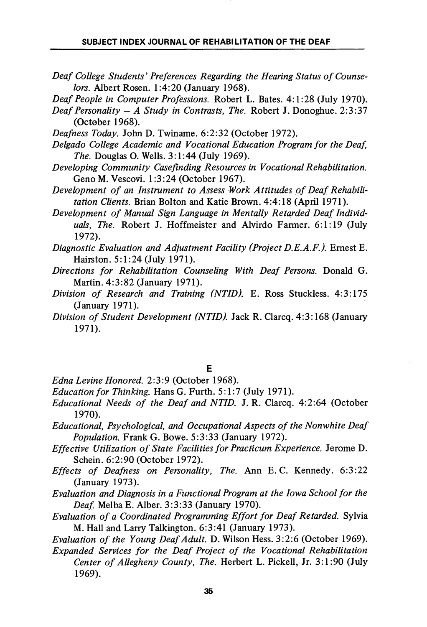Deaf College Students' Preferences Regarding the Hearing Status of Counse lors. Albert Rosen. 1:4:20 (January 1968).

Deaf People in Computer Professions. Robert L. Bates. 4:1:28 (July 1970).

Deafness Today. John D. Twiname. 6:2:32 (October 1972).

Delgado College Academic and Vocational Education Program for the Deaf, The. Douglas O. Wells. 3:1:44 (July 1969).

- Developing Community Casefinding Resources in Vocational Rehabilitation. Geno M. Vescovi. 1:3:24 (October 1967).
- Development of an Instrument to Assess Work Attitudes of Deaf Rehabili tation Clients. Brian Bolton and Katie Brown. 4:4:18 (April 1971).
- Development of Manual Sign Language in Mentally Retarded Deaf Individ uals, The. Robert J. Hoffmeister and Alvirdo Farmer. 6:1:19 (July 1972).
- Diagnostic Evaluation and Adjustment Facility (Project D.E.A.F.). Ernest E. Hairston. 5:1:24 (July 1971).
- Directions for Rehabilitation Counseling With Deaf Persons. Donald G. Martin. 4:3:82 (January 1971).
- Division of Research and Training (NTID). E. Ross Stuckless. 4:3:175 (January 1971).
- Division of Student Development (NTID). Jack R. Clarcq. 4:3:168 (January 1971).

E

- Edna Levine Honored. 2:3:9 (October 1968).
- Education for Thinking. HansG. Furth. 5:1:7 (July 1971).
- Educational Needs of the Deaf and NTID. J. R. Clarcq. 4:2:64 (October 1970).
- Educational, Psychological, and Occupational Aspects of the Nonwhite Deaf Population. Frank G. Bowe. 5:3:33 (January 1972).
- Effective Utilization of State Facilities for Practicum Experience. Jerome D. Schein. 6:2:90 (October 1972).
- Effects of Deafness on Personality, The. Ann E.G. Kennedy. 6:3:22 (January 1973).
- Evaluation and Diagnosis in a Functional Program at the Iowa School for the Deaf. Melba E. Alber. 3:3:33 (January 1970).
- Evaluation of a Coordinated Programming Effort for Deaf Retarded. Sylvia M. Hall and Larry Talkington. 6:3:41 (January 1973).

Evaluation of the Young Deaf Adult. D. Wilson Hess. 3:2:6 (October 1969).

Expanded Services for the Deaf Project of the Vocational Rehabilitation Center of Allegheny County, The. Herbert L. Pickell, Jr. 3:1:90 (July 1969).

Deaf Personality  $-$  A Study in Contrasts, The. Robert J. Donoghue. 2:3:37 (October 1968).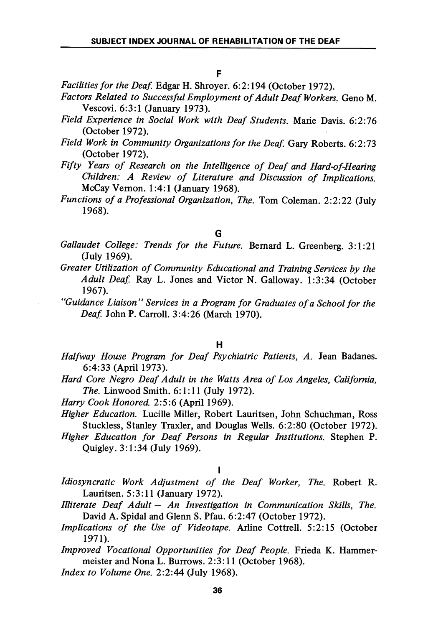F

Facilities for the Deaf. Edgar H. Shroyer. 6:2:194 (October 1972).

- Factors Related to Successful Employment of Adult Deaf Workers. Geno M. Vescovi. 6:3:1 (January 1973).
- Field Experience in Social Work with Deaf Students. Marie Davis. 6:2:76 (October 1972).
- Field Work in Community Organizations for the Deaf. Gary Roberts. 6:2:73 (October 1972).
- Fifty Years of Research on the Intelligence of Deaf and Hard-of-Hearing Children: A Review of Literature and Discussion of Implications. McCay Vemon. 1:4:1 (January 1968).
- Functions of a Professional Organization, The. Tom Coleman. 2:2:22 (July 1968).

#### G

- Gallaudet College: Trends for the Future. Bernard L. Greenberg. 3:1:21 (July 1969).
- Greater Utilization of Community Educational and Training Services by the Adult Deaf. Ray L. Jones and Victor N. Galloway. 1:3:34 (October 1967).
- "Guidance Liaison" Services in a Program for Graduates of a School for the Deaf. John P. Carroll. 3:4:26 (March 1970).

#### H

- Halfway House Program for Deaf Psychiatric Patients, A. Jean Badanes. 6:4:33 (April 1973).
- Hard Core Negro Deaf Adult in the Watts Area of Los Angeles, California, The. Linwood Smith. 6:1:11 (July 1972).
- Harry Cook Honored. 2:5:6 (April 1969).
- Higher Education. Lucille Miller, Robert Lauritsen, John Schuchman, Ross Stuckless, Stanley Traxler, and Douglas Wells. 6:2:80 (October 1972).
- Higher Education for Deaf Persons in Regular Institutions. Stephen P. Quigley. 3:1:34 (July 1969).

#### $\mathbf{I}$

Idiosyncratic Work Adjustment of the Deaf Worker, The. Robert R. Lauritsen. 5:3:11 (January 1972).

- Illiterate Deaf Adult An Investigation in Communication Skills, The. David A. Spidal and Glenn S. Pfau. 6:2:47 (October 1972).
- Implications of the Use of Videotape. Arhne Cottrell. 5:2:15 (October 1971).
- Improved Vocational Opportunities for Deaf People. Frieda K. Hammermeister and Nona L. Burrows. 2:3:11 (October 1968).

Index to Volume One. 2:2:44 (July 1968).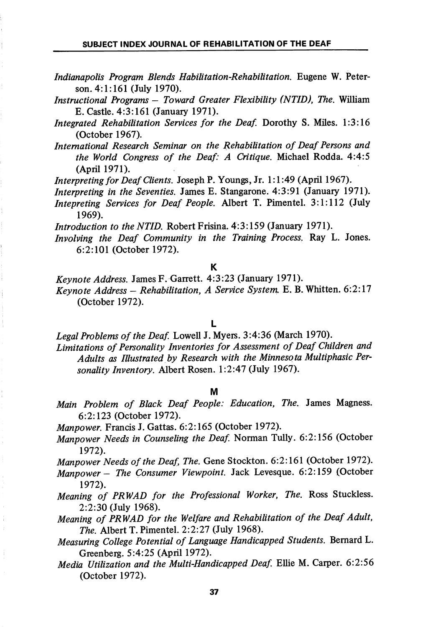- Indianapolis Program Blends Habilitation-Rehabilitation. Eugene W. Peter son. 4:1:161 (July 1970).
- Instructional Programs Toward Greater Flexibility (NTID), The. William E. Castle. 4:3:161 (January 1971).
- Integrated Rehabilitation Services for the Deaf. Dorothy S. Miles. 1:3:16 (October 1967).
- International Research Seminar on the Rehabilitation of Deaf Persons and the World Congress of the Deaf: A Critique. Michael Rodda. 4:4:5 (April 1971).

Interpreting for Deaf Clients. Joseph P. Youngs, Jr. 1:1:49 (April 1967).

- Interpreting in the Seventies. James E. Stangarone. 4:3:91 (January 1971).
- Intepreting Services for Deaf People. Albert T. Pimentel. 3:1:112 (July 1969).

Introduction to the NTID. Robert Frisina. 4:3:159 (January 1971).

Involving the Deaf Community in the Training Process. Ray L. Jones. 6:2:101 (October 1972).

K

Keynote Address. James F. Garrett. 4:3:23 (January 1971).

Keynote Address - Rehabilitation, A Service System. E. B. Whitten.  $6:2:17$ (October 1972).

L

Legal Problems of the Deaf. Lowell J. Myers. 3:4:36 (March 1970).

Limitations of Personality Inventories for Assessment of Deaf Children and Adults as Illustrated by Research with the Minnesota Multiphasic Per sonality Inventory. Albert Rosen. 1:2:47 (July 1967).

#### M

Main Problem of Black Deaf People: Education, The. James Magness. 6:2:123 (October 1972).

Manpower. Francis J. Gattas. 6:2:165 (October 1972).

Manpower Needs in Counseling the Deaf. Norman Tully. 6:2:156 (October 1972).

Manpower Needs of the Deaf, The. Gene Stockton. 6:2:161 (October 1972).

- Manpower The Consumer Viewpoint. Jack Levesque. 6:2:159 (October 1972).
- Meaning of PRWAD for the Professional Worker, The. Ross Stuckless. 2:2:30 (July 1968).
- Meaning of PRWAD for the Welfare and Rehabilitation of the Deaf Adult, The. Albert T. Pimentel. 2:2:27 (July 1968).
- Measuring College Potential of Language Handicapped Students. Bernard L. Greenberg. 5:4:25 (April 1972).
- Media Utilization and the Multi-Handicapped Deaf. Ellie M. Carper. 6:2:56 (October 1972).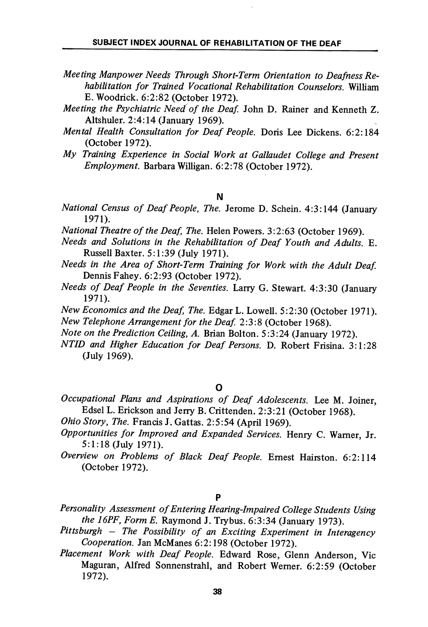- Meeting Manpower Needs Through Short-Term Orientation to Deafness Re habilitation for Trained Vocational Rehabilitation Counselors. William E. Woodrick. 6:2:82 (October 1972).
- Meeting the Psychiatric Need of the Deaf. John D. Rainer and Kenneth Z. Altshuler. 2:4:14 (January 1969).
- Mental Health Consultation for Deaf People. Doris Lee Dickens. 6:2:184 (October 1972).
- My Training Experience in Social Work at Gallaudet College and Present Employment. Barbara Willigan. 6:2:78 (October 1972).
	- N
- National Census of Deaf People, The. Jerome D. Schein. 4:3:144 (January 1971).
- National Theatre of the Deaf, The. Helen Powers. 3:2:63 (October 1969).
- Needs and Solutions in the Rehabilitation of Deaf Youth and Adults. E. Russell Baxter. 5:1:39 (July 1971).
- Needs in the Area of Short-Term Training for Work with the Adult Deaf Dennis Fahey. 6:2:93 (October 1972).
- Needs of Deaf People in the Seventies. Larry G. Stewart. 4:3:30 (January 1971).
- New Economics and the Deaf, The. Edgar L. Lowell. 5:2:30 (October 1971). New Telephone Arrangement for the Deaf. 2:3:8 (October 1968).
- Note on the Prediction Ceiling, A. Brian Bolton. 5:3:24 (January 1972).
- NTID and Higher Education for Deaf Persons. D. Robert Frisina. 3:1:28 (July 1969).

### O

- Occupational Plans and Aspirations of Deaf Adolescents. Lee M. Joiner, Edsel L. Erickson and Jerry B. Crittenden. 2:3:21 (October 1968).
- Ohio Story, The. Francis J. Gattas. 2:5:54 (April 1969).
- Opportunities for Improved and Expanded Services. Henry C. Warner, Jr. 5:1:18 (July 1971).
- Overview on Problems of Black Deaf People. Ernest Hairston. 6:2:114 (October 1972).

## P

- Personality Assessment of Entering Hearing-Impaired College Students Using the I6PF, Form E. Raymond J. Trybus. 6:3:34 (January 1973).
- Pittsburgh The Possibility of an Exciting Experiment in Interagency Cooperation. Jan McManes 6:2:198 (October 1972).
- Placement Work with Deaf People. Edward Rose, Glenn Anderson, Vic Maguran, Alfred Sonnenstrahl, and Robert Wemer. 6:2:59 (October 1972).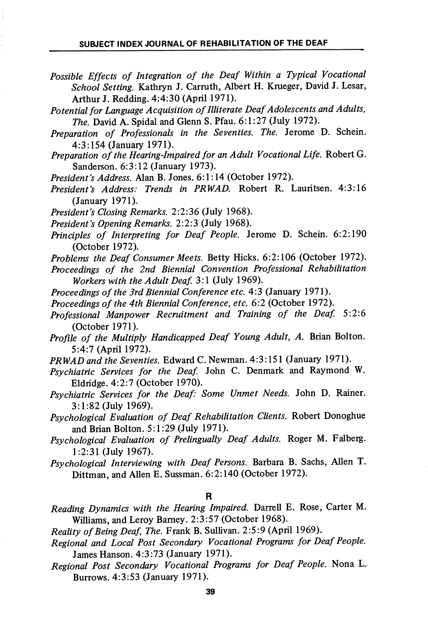- Possible Effects of Integration of the Deaf Within a Typical Vocational School Setting. Kathryn J. Carrath, Albert H. Krueger, David J. Lesar, Arthur J. Redding. 4:4:30 (April 1971).
- Potential for language Acquisition of Illiterate Deaf Adolescents and Adults, The. David A. Spidal and Glenn S. Pfau. 6:1:27 (July 1972).
- Preparation of Professionals in the Seventies. The. Jerome D. Schein. 4:3:154 (January 1971).
- Preparation of the Hearing-Impaired for an Adult Vocational Life. Robert G. Sanderson. 6:3:12 (January 1973).
- President's Address. Alan B. Jones. 6:1:14 (October 1972).
- President's Address: Trends in PRWAD. Robert R. Lauritsen. 4:3:16 (January 1971).
- President's Closing Remarks. 2:2:36 (July 1968).
- President's Opening Remarks. 2:2:3 (July 1968).
- Principles of Interpreting for Deaf People. Jerome D. Schein. 6:2:190 (October 1972).
- Problems the Deaf Consumer Meets. Betty Hicks. 6:2:106 (October 1972).
- Proceedings of the 2nd Biennial Convention Professional Rehabilitation Workers with the Adult Deaf. 3:1 (July 1969).
- Proceedings of the 3rd Biennial Conference etc. 4:3 (January 1971).
- Proceedings of the 4th Biennial Conference, etc. 6:2 (October 1972).
- Professional Manpower Recruitment and Training of the Deaf 5:2:6 (October 1971).
- Profile of the Multiply Handicapped Deaf Young Adult, A. Brian Bolton. 5:4:7 (April 1972).
- PRWAD and the Seventies. Edward C. Newman. 4:3:151 (January 1971).
- Psychiatric Services for the Deaf. John C. Denmark and Raymond W. Eldiidge. 4:2:7 (October 1970).
- Psychiatric Services for the Deaf: Some Unmet Needs. John D. Rainer. 3:1:82 (July 1969).
- Psychological Evaluation of Deaf Rehabilitation Clients. Robert Donoghue and Brian Bolton. 5:1:29 (July 1971).
- Psychological Evaluation of Prelingually Deaf Adults. Roger M. Falberg. 1:2:31 (July 1967).
- Psychological Interviewing with Deaf Persons. Barbara B. Sachs, Allen T. Dittman, and Allen E. Sussman. 6:2:140 (October 1972).

#### R

Reading Dynamics with the Hearing Impaired. Darrell E. Rose, Carter M. Williams, and Leroy Bamey. 2:3:57 (October 1968).

Reality of Being Deaf, The. Frank B. Sullivan. 2:5:9 (April 1969).

- Regional and Local Post Secondary Vocational Programs for Deaf People. James Hanson. 4:3:73 (January 1971).
- Regional Post Secondary Vocational Programs for Deaf People. Nona L. Burrows. 4:3:53 (January 1971).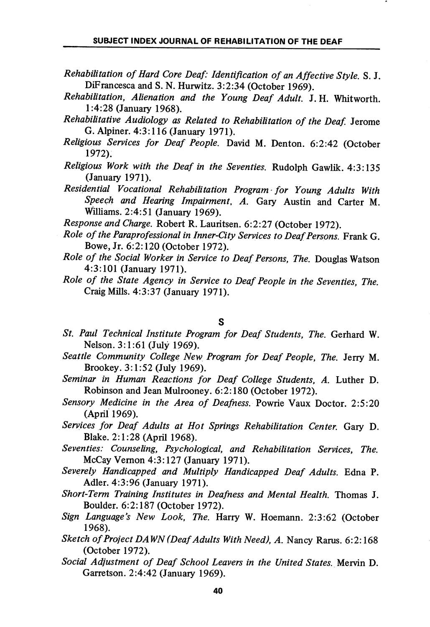- Rehabilitation of Hard Core Deaf: Identification of an Affective Style. S. J. DiFrancesca and S. N. Hurwitz. 3:2:34 (October 1969).
- Rehabilitation, Alienation and the Young Deaf Adult. J. H. Whitworth. 1:4:28 (January 1968).
- Rehabilitative Audiology as Related to Rehabilitation of the Deaf. Jerome G. Alpiner. 4:3:116 (January 1971).
- Religious Services for Deaf People. David M. Denton. 6:2:42 (October 1972).
- Religious Work with the Deaf in the Seventies. Rudolph Gawlik. 4:3:135 (January 1971).
- Residential Vocational Rehabilitation Program -for Young Adults With Speech and Hearing Impairment, A. Gary Austin and Carter M. Williams. 2:4:51 (January 1969).

Response and Charge. Robert R. Lauritsen. 6:2:27 (October 1972).

- Role of the Paraprofessional in Inner-City Services to Deaf Persons. Frank G. Bowe, Jr. 6:2:120 (October 1972).
- Role of the Social Worker in Service to Deaf Persons, The. Douglas Watson 4:3:101 (January 1971).
- Role of the State Agency in Service to Deaf People in the Seventies, The. Craig Mills. 4:3:37 (January 1971).

S

- St. Paul Technical Institute Program for Deaf Students, The. Gerhard W. Nelson. 3:1:61 (July 1969).
- Seattle Community College New Program for Deaf People, The. Jerry M. Brookey. 3:1:52 (July 1969).
- Seminar in Human Reactions for Deaf College Students, A. Luther D. Robinson and Jean Mulrooney. 6:2:180 (October 1972).
- Sensory Medicine in the Area of Deafness. Powrie Vaux Doctor. 2:5:20 (April 1969).
- Services for Deaf Adults at Hot Springs Rehabilitation Center. Gary D. Blake. 2:1:28 (April 1968).
- Seventies: Counseling, Psychological, and Rehabilitation Services, The. McCay Vemon 4:3:127 (January 1971).
- Severely Handicapped and Multiply Handicapped Deaf Adults. Edna P. Adler. 4:3:96 (January 1971).
- Short-Term Training Institutes in Deafness and Mental Health. Thomas J. Boulder. 6:2:187 (October 1972).
- Sign Language's New Look, The. Harry W. Hoemann. 2:3:62 (October 1968).
- Sketch of Project DAWN (Deaf Adults With Need), A. Nancy Rarus. 6:2:168 (October 1972).
- Social Adjustment of Deaf School Leavers in the United States. Mervin D. Garretson. 2:4:42 (January 1969).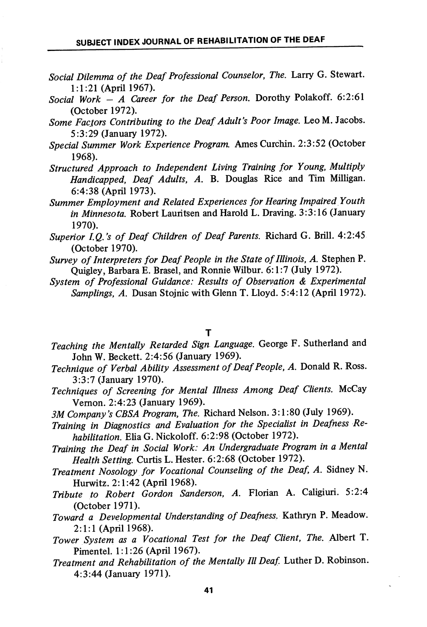- Social Dilemma of the Deaf Professional Counselor, The. Larry G. Stewart. 1:1:21 (April 1967).
- Social Work  $-$  A Career for the Deaf Person. Dorothy Polakoff. 6:2:61 (October 1972).
- Some Facjors Contributing to the Deaf Adult's Poor Image. Leo M. Jacobs. 5:3:29 (January 1972).
- Special Summer Work Experience Program. Ames Curchin. 2:3:52 (October 1968).
- Structured Approach to Independent Living Training for Young, Multiply Handicapped, Deaf Adults, A. B. Douglas Rice and Tim Milligan. 6:4:38 (April 1973).
- Summer Employment and Related Experiences for Hearing Impaired Youth in Minnesota. Robert Lauritsen and Harold L. Draving. 3:3:16 (January 1970).
- Superior I.Q.'s of Deaf Children of Deaf Parents. Richard G. Brill. 4:2:45 (October 1970).
- Survey of Interpreters for Deaf People in the State of Illinois, A. Stephen P. Quigley, Barbara E. Brasel, and Ronnie Wilbur. 6:1:7 (July 1972).
- System of Professional Guidance: Results of Observation & Experimental Samplings, A. Dusan Stojnic with Glenn T. Lloyd. 5:4:12 (April 1972).

#### T

- Teaching the Mentally Retarded Sign Language. George F. Sutherland and John W. Beckett. 2:4:56 (January 1969).
- Technique of Verbal Ability Assessment of Deaf People, A. Donald R. Ross. 3:3:7 (January 1970).
- Techniques of Screening for Mental Illness Among Deaf Clients. McCay Vemon. 2:4:23 (January 1969).
- 3M Company's CBSA Program, The. Richard Nelson. 3:1:80 (July 1969).
- Training in Diagnostics and Evaluation for the Specialist in Deafness Re habilitation. Elia G. Nickoloff. 6:2:98 (October 1972).
- Training the Deaf in Social Work: An Undergraduate Program in a Mental Health Setting. Curtis L. Hester. 6:2:68 (October 1972).
- Treatment Nosology for Vocational Counseling of the Deaf, A. Sidney N. Hurwitz. 2:1:42 (April 1968).
- Tribute to Robert Gordon Sanderson, A. Florian A. Caligiuri. 5:2:4 (October 1971).
- Toward a Developmental Understanding of Deafness. Kathryn P. Meadow. 2:1:1 (April 1968).
- Tower System as a Vocational Test for the Deaf Client, The. Albert T. Pimentel. 1:1:26 (April 1967).
- Treatment and Rehabilitation of the Mentally III Deaf Luther D. Robinson. 4:3:44 (January 1971).